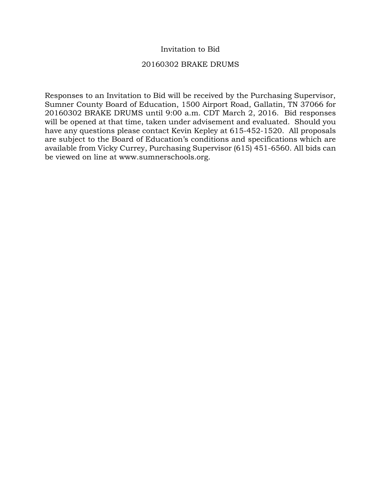# Invitation to Bid

### 20160302 BRAKE DRUMS

Responses to an Invitation to Bid will be received by the Purchasing Supervisor, Sumner County Board of Education, 1500 Airport Road, Gallatin, TN 37066 for 20160302 BRAKE DRUMS until 9:00 a.m. CDT March 2, 2016. Bid responses will be opened at that time, taken under advisement and evaluated. Should you have any questions please contact Kevin Kepley at 615-452-1520. All proposals are subject to the Board of Education's conditions and specifications which are available from Vicky Currey, Purchasing Supervisor (615) 451-6560. All bids can be viewed on line at www.sumnerschools.org.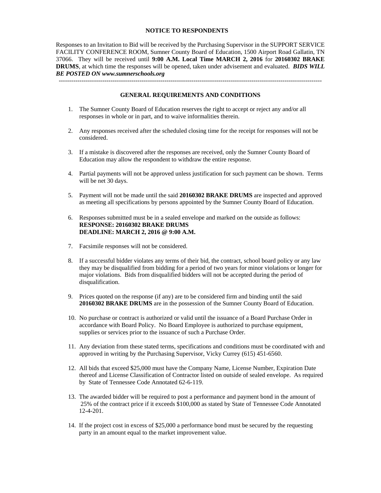#### **NOTICE TO RESPONDENTS**

Responses to an Invitation to Bid will be received by the Purchasing Supervisor in the SUPPORT SERVICE FACILITY CONFERENCE ROOM, Sumner County Board of Education, 1500 Airport Road Gallatin, TN 37066. They will be received until **9:00 A.M. Local Time MARCH 2, 2016** for **20160302 BRAKE DRUMS**, at which time the responses will be opened, taken under advisement and evaluated. *BIDS WILL BE POSTED ON www.sumnerschools.org* 

**GENERAL REQUIREMENTS AND CONDITIONS** 

-------------------------------------------------------------------------------------------------------------------------------

- 1. The Sumner County Board of Education reserves the right to accept or reject any and/or all responses in whole or in part, and to waive informalities therein.
- 2. Any responses received after the scheduled closing time for the receipt for responses will not be considered.
- 3. If a mistake is discovered after the responses are received, only the Sumner County Board of Education may allow the respondent to withdraw the entire response.
- 4. Partial payments will not be approved unless justification for such payment can be shown. Terms will be net 30 days.
- 5. Payment will not be made until the said **20160302 BRAKE DRUMS** are inspected and approved as meeting all specifications by persons appointed by the Sumner County Board of Education.
- 6. Responses submitted must be in a sealed envelope and marked on the outside as follows: **RESPONSE: 20160302 BRAKE DRUMS DEADLINE: MARCH 2, 2016 @ 9:00 A.M.**
- 7. Facsimile responses will not be considered.
- 8. If a successful bidder violates any terms of their bid, the contract, school board policy or any law they may be disqualified from bidding for a period of two years for minor violations or longer for major violations. Bids from disqualified bidders will not be accepted during the period of disqualification.
- 9. Prices quoted on the response (if any) are to be considered firm and binding until the said **20160302 BRAKE DRUMS** are in the possession of the Sumner County Board of Education.
- 10. No purchase or contract is authorized or valid until the issuance of a Board Purchase Order in accordance with Board Policy. No Board Employee is authorized to purchase equipment, supplies or services prior to the issuance of such a Purchase Order.
- 11. Any deviation from these stated terms, specifications and conditions must be coordinated with and approved in writing by the Purchasing Supervisor, Vicky Currey (615) 451-6560.
- 12. All bids that exceed \$25,000 must have the Company Name, License Number, Expiration Date thereof and License Classification of Contractor listed on outside of sealed envelope. As required by State of Tennessee Code Annotated 62-6-119.
- 13. The awarded bidder will be required to post a performance and payment bond in the amount of 25% of the contract price if it exceeds \$100,000 as stated by State of Tennessee Code Annotated 12-4-201.
- 14. If the project cost in excess of \$25,000 a performance bond must be secured by the requesting party in an amount equal to the market improvement value.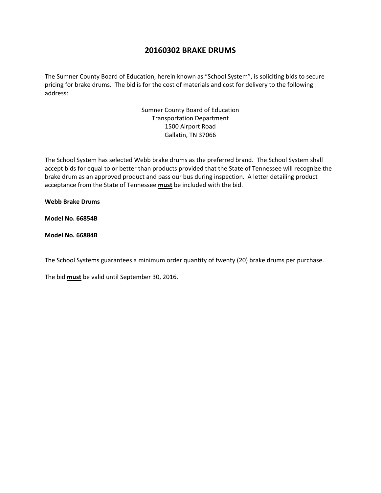# **20160302 BRAKE DRUMS**

The Sumner County Board of Education, herein known as "School System", is soliciting bids to secure pricing for brake drums. The bid is for the cost of materials and cost for delivery to the following address:

> Sumner County Board of Education Transportation Department 1500 Airport Road Gallatin, TN 37066

The School System has selected Webb brake drums as the preferred brand. The School System shall accept bids for equal to or better than products provided that the State of Tennessee will recognize the brake drum as an approved product and pass our bus during inspection. A letter detailing product acceptance from the State of Tennessee **must** be included with the bid.

**Webb Brake Drums**

**Model No. 66854B**

**Model No. 66884B**

The School Systems guarantees a minimum order quantity of twenty (20) brake drums per purchase.

The bid **must** be valid until September 30, 2016.